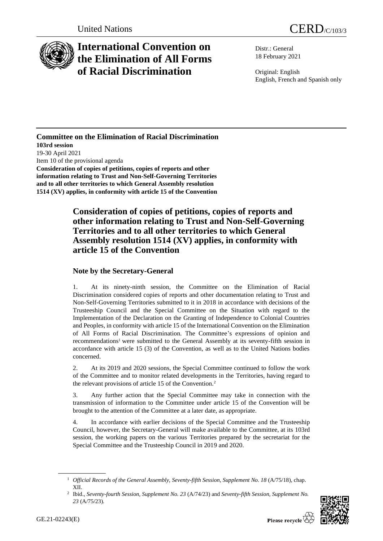

## **International Convention on the Elimination of All Forms of Racial Discrimination**

Distr.: General 18 February 2021

Original: English English, French and Spanish only

## **Committee on the Elimination of Racial Discrimination 103rd session** 19-30 April 2021 Item 10 of the provisional agenda **Consideration of copies of petitions, copies of reports and other information relating to Trust and Non-Self-Governing Territories and to all other territories to which General Assembly resolution 1514 (XV) applies, in conformity with article 15 of the Convention**

## **Consideration of copies of petitions, copies of reports and other information relating to Trust and Non-Self-Governing Territories and to all other territories to which General Assembly resolution 1514 (XV) applies, in conformity with article 15 of the Convention**

## **Note by the Secretary-General**

1. At its ninety-ninth session, the Committee on the Elimination of Racial Discrimination considered copies of reports and other documentation relating to Trust and Non-Self-Governing Territories submitted to it in 2018 in accordance with decisions of the Trusteeship Council and the Special Committee on the Situation with regard to the Implementation of the Declaration on the Granting of Independence to Colonial Countries and Peoples, in conformity with article 15 of the International Convention on the Elimination of All Forms of Racial Discrimination. The Committee's expressions of opinion and recommendations<sup>1</sup> were submitted to the General Assembly at its seventy-fifth session in accordance with article 15 (3) of the Convention, as well as to the United Nations bodies concerned.

2. At its 2019 and 2020 sessions, the Special Committee continued to follow the work of the Committee and to monitor related developments in the Territories, having regard to the relevant provisions of article 15 of the Convention.<sup>2</sup>

3. Any further action that the Special Committee may take in connection with the transmission of information to the Committee under article 15 of the Convention will be brought to the attention of the Committee at a later date, as appropriate.

4. In accordance with earlier decisions of the Special Committee and the Trusteeship Council, however, the Secretary-General will make available to the Committee, at its 103rd session, the working papers on the various Territories prepared by the secretariat for the Special Committee and the Trusteeship Council in 2019 and 2020.

<sup>2</sup> Ibid., *Seventy-fourth Session, Supplement No. 23* (A/74/23) and *Seventy-fifth Session, Supplement No. 23* (A/75/23).



<sup>1</sup> *Official Records of the General Assembly, Seventy-fifth Session, Supplement No. 18* (A/75/18), chap. XII.